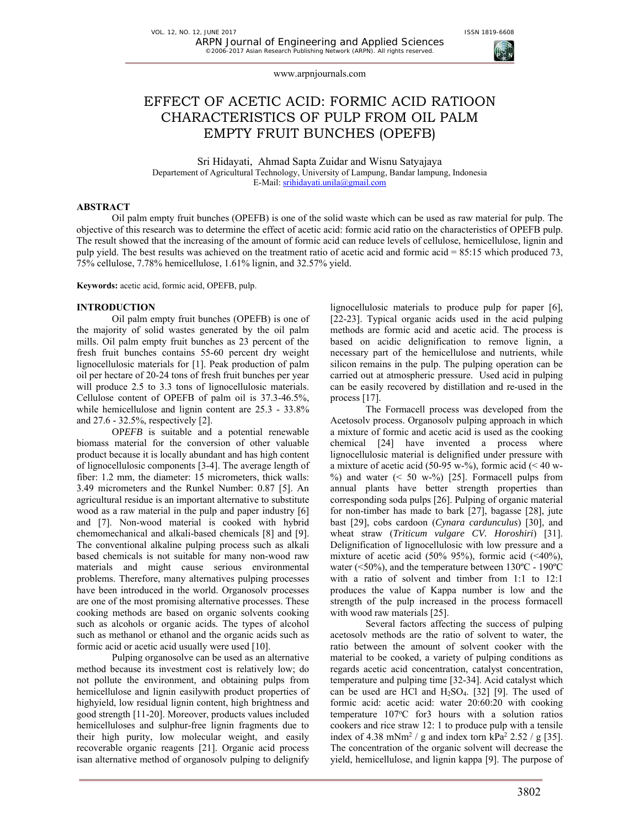

# EFFECT OF ACETIC ACID: FORMIC ACID RATIOON CHARACTERISTICS OF PULP FROM OIL PALM EMPTY FRUIT BUNCHES (OPEFB)

Sri Hidayati, Ahmad Sapta Zuidar and Wisnu Satyajaya Departement of Agricultural Technology, University of Lampung, Bandar lampung, Indonesia E-Mail: srihidayati.unila@gmail.com

# **ABSTRACT**

Oil palm empty fruit bunches (OPEFB) is one of the solid waste which can be used as raw material for pulp. The objective of this research was to determine the effect of acetic acid: formic acid ratio on the characteristics of OPEFB pulp. The result showed that the increasing of the amount of formic acid can reduce levels of cellulose, hemicellulose, lignin and pulp yield. The best results was achieved on the treatment ratio of acetic acid and formic acid = 85:15 which produced 73, 75% cellulose, 7.78% hemicellulose, 1.61% lignin, and 32.57% yield.

**Keywords:** acetic acid, formic acid, OPEFB, pulp.

#### **INTRODUCTION**

Oil palm empty fruit bunches (OPEFB) is one of the majority of solid wastes generated by the oil palm mills. Oil palm empty fruit bunches as 23 percent of the fresh fruit bunches contains 55-60 percent dry weight lignocellulosic materials for [1]. Peak production of palm oil per hectare of 20-24 tons of fresh fruit bunches per year will produce 2.5 to 3.3 tons of lignocellulosic materials. Cellulose content of OPEFB of palm oil is 37.3-46.5%, while hemicellulose and lignin content are 25.3 - 33.8% and 27.6 - 32.5%, respectively [2].

OP*EFB* is suitable and a potential renewable biomass material for the conversion of other valuable product because it is locally abundant and has high content of lignocellulosic components [3-4]. The average length of fiber: 1.2 mm, the diameter: 15 micrometers, thick walls: 3.49 micrometers and the Runkel Number: 0.87 [5]. An agricultural residue is an important alternative to substitute wood as a raw material in the pulp and paper industry [6] and [7]. Non-wood material is cooked with hybrid chemomechanical and alkali-based chemicals [8] and [9]. The conventional alkaline pulping process such as alkali based chemicals is not suitable for many non-wood raw materials and might cause serious environmental problems. Therefore, many alternatives pulping processes have been introduced in the world. Organosolv processes are one of the most promising alternative processes. These cooking methods are based on organic solvents cooking such as alcohols or organic acids. The types of alcohol such as methanol or ethanol and the organic acids such as formic acid or acetic acid usually were used [10].

Pulping organosolve can be used as an alternative method because its investment cost is relatively low; do not pollute the environment, and obtaining pulps from hemicellulose and lignin easilywith product properties of highyield, low residual lignin content, high brightness and good strength [11-20]. Moreover, products values included hemicelluloses and sulphur-free lignin fragments due to their high purity, low molecular weight, and easily recoverable organic reagents [21]. Organic acid process isan alternative method of organosolv pulping to delignify lignocellulosic materials to produce pulp for paper [6], [22-23]. Typical organic acids used in the acid pulping methods are formic acid and acetic acid. The process is based on acidic delignification to remove lignin, a necessary part of the hemicellulose and nutrients, while silicon remains in the pulp. The pulping operation can be carried out at atmospheric pressure. Used acid in pulping can be easily recovered by distillation and re-used in the process [17].

The Formacell process was developed from the Acetosolv process. Organosolv pulping approach in which a mixture of formic and acetic acid is used as the cooking chemical [24] have invented a process where lignocellulosic material is delignified under pressure with a mixture of acetic acid (50-95 w-%), formic acid ( $\leq 40$  w-%) and water  $( $50 \text{ w-} \%$ ) [25]$ . Formacell pulps from annual plants have better strength properties than corresponding soda pulps [26]. Pulping of organic material for non-timber has made to bark [27], bagasse [28], jute bast [29], cobs cardoon (*Cynara cardunculus*) [30], and wheat straw (*Triticum vulgare CV. Horoshiri*) [31]. Delignification of lignocellulosic with low pressure and a mixture of acetic acid (50% 95%), formic acid ( $\langle 40\%$ ), water (<50%), and the temperature between 130ºC - 190ºC with a ratio of solvent and timber from 1:1 to 12:1 produces the value of Kappa number is low and the strength of the pulp increased in the process formacell with wood raw materials [25].

Several factors affecting the success of pulping acetosolv methods are the ratio of solvent to water, the ratio between the amount of solvent cooker with the material to be cooked, a variety of pulping conditions as regards acetic acid concentration, catalyst concentration, temperature and pulping time [32-34]. Acid catalyst which can be used are HCl and  $H<sub>2</sub>SO<sub>4</sub>$ . [32] [9]. The used of formic acid: acetic acid: water 20:60:20 with cooking temperature 107°C for3 hours with a solution ratios cookers and rice straw 12: 1 to produce pulp with a tensile index of 4.38 mNm<sup>2</sup> / g and index torn kPa<sup>2</sup> 2.52 / g [35]. The concentration of the organic solvent will decrease the yield, hemicellulose, and lignin kappa [9]. The purpose of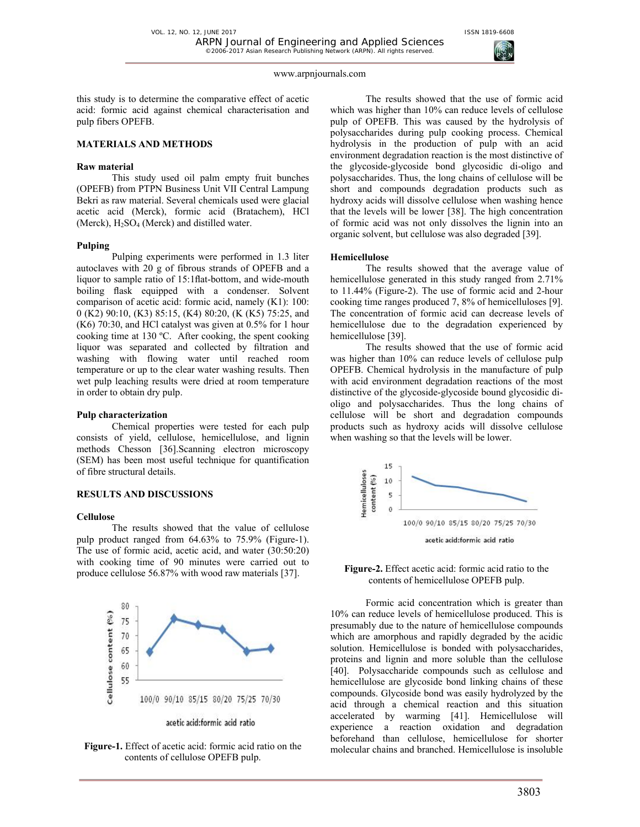

this study is to determine the comparative effect of acetic acid: formic acid against chemical characterisation and pulp fibers OPEFB.

# **MATERIALS AND METHODS**

#### **Raw material**

This study used oil palm empty fruit bunches (OPEFB) from PTPN Business Unit VII Central Lampung Bekri as raw material. Several chemicals used were glacial acetic acid (Merck), formic acid (Bratachem), HCl (Merck),  $H<sub>2</sub>SO<sub>4</sub>$  (Merck) and distilled water.

#### **Pulping**

Pulping experiments were performed in 1.3 liter autoclaves with 20 g of fibrous strands of OPEFB and a liquor to sample ratio of 15:1flat-bottom, and wide-mouth boiling flask equipped with a condenser. Solvent comparison of acetic acid: formic acid, namely (K1): 100: 0 (K2) 90:10, (K3) 85:15, (K4) 80:20, (K (K5) 75:25, and (K6) 70:30, and HCl catalyst was given at 0.5% for 1 hour cooking time at 130 ºC. After cooking, the spent cooking liquor was separated and collected by filtration and washing with flowing water until reached room temperature or up to the clear water washing results. Then wet pulp leaching results were dried at room temperature in order to obtain dry pulp.

#### **Pulp characterization**

Chemical properties were tested for each pulp consists of yield, cellulose, hemicellulose, and lignin methods Chesson [36].Scanning electron microscopy (SEM) has been most useful technique for quantification of fibre structural details.

## **RESULTS AND DISCUSSIONS**

#### **Cellulose**

The results showed that the value of cellulose pulp product ranged from 64.63% to 75.9% (Figure-1). The use of formic acid, acetic acid, and water (30:50:20) with cooking time of 90 minutes were carried out to produce cellulose 56.87% with wood raw materials [37].



acetic acid:formic acid ratio

**Figure-1.** Effect of acetic acid: formic acid ratio on the contents of cellulose OPEFB pulp.

The results showed that the use of formic acid which was higher than 10% can reduce levels of cellulose pulp of OPEFB. This was caused by the hydrolysis of polysaccharides during pulp cooking process. Chemical hydrolysis in the production of pulp with an acid environment degradation reaction is the most distinctive of the glycoside-glycoside bond glycosidic di-oligo and polysaccharides. Thus, the long chains of cellulose will be short and compounds degradation products such as hydroxy acids will dissolve cellulose when washing hence that the levels will be lower [38]. The high concentration of formic acid was not only dissolves the lignin into an organic solvent, but cellulose was also degraded [39].

#### **Hemicellulose**

The results showed that the average value of hemicellulose generated in this study ranged from 2.71% to 11.44% (Figure-2). The use of formic acid and 2-hour cooking time ranges produced 7, 8% of hemicelluloses [9]. The concentration of formic acid can decrease levels of hemicellulose due to the degradation experienced by hemicellulose [39].

The results showed that the use of formic acid was higher than 10% can reduce levels of cellulose pulp OPEFB. Chemical hydrolysis in the manufacture of pulp with acid environment degradation reactions of the most distinctive of the glycoside-glycoside bound glycosidic dioligo and polysaccharides. Thus the long chains of cellulose will be short and degradation compounds products such as hydroxy acids will dissolve cellulose when washing so that the levels will be lower.



**Figure-2.** Effect acetic acid: formic acid ratio to the contents of hemicellulose OPEFB pulp.

Formic acid concentration which is greater than 10% can reduce levels of hemicellulose produced. This is presumably due to the nature of hemicellulose compounds which are amorphous and rapidly degraded by the acidic solution. Hemicellulose is bonded with polysaccharides, proteins and lignin and more soluble than the cellulose [40]. Polysaccharide compounds such as cellulose and hemicellulose are glycoside bond linking chains of these compounds. Glycoside bond was easily hydrolyzed by the acid through a chemical reaction and this situation accelerated by warming [41]. Hemicellulose will experience a reaction oxidation and degradation beforehand than cellulose, hemicellulose for shorter molecular chains and branched. Hemicellulose is insoluble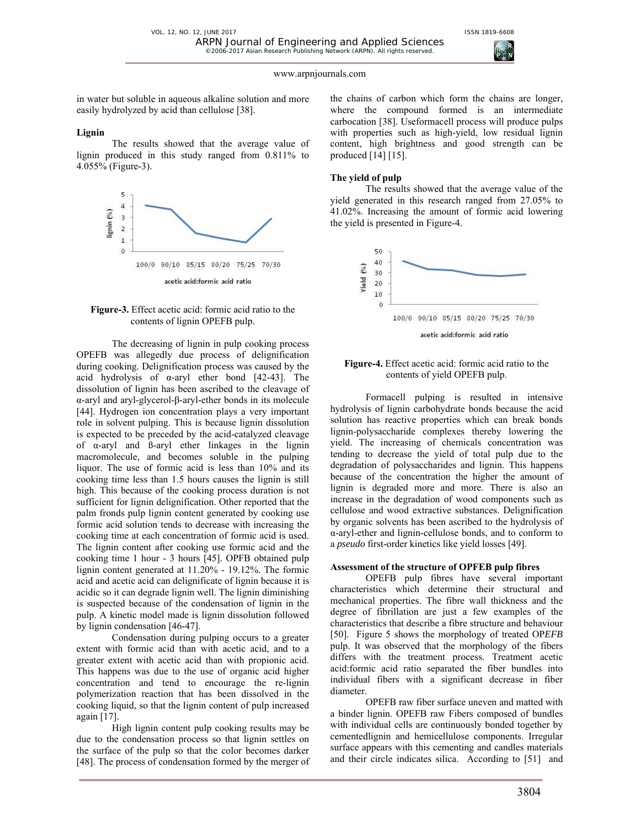in water but soluble in aqueous alkaline solution and more easily hydrolyzed by acid than cellulose [38].

#### **Lignin**

The results showed that the average value of lignin produced in this study ranged from 0.811% to 4.055% (Figure-3).





The decreasing of lignin in pulp cooking process OPEFB was allegedly due process of delignification during cooking. Delignification process was caused by the acid hydrolysis of  $\alpha$ -aryl ether bond [42-43]. The dissolution of lignin has been ascribed to the cleavage of α-aryl and aryl-glycerol-β-aryl-ether bonds in its molecule [44]. Hydrogen ion concentration plays a very important role in solvent pulping. This is because lignin dissolution is expected to be preceded by the acid-catalyzed cleavage of α-aryl and ß-aryl ether linkages in the lignin macromolecule, and becomes soluble in the pulping liquor. The use of formic acid is less than 10% and its cooking time less than 1.5 hours causes the lignin is still high. This because of the cooking process duration is not sufficient for lignin delignification. Other reported that the palm fronds pulp lignin content generated by cooking use formic acid solution tends to decrease with increasing the cooking time at each concentration of formic acid is used. The lignin content after cooking use formic acid and the cooking time 1 hour - 3 hours [45]. OPFB obtained pulp lignin content generated at 11.20% - 19.12%. The formic acid and acetic acid can delignificate of lignin because it is acidic so it can degrade lignin well. The lignin diminishing is suspected because of the condensation of lignin in the pulp. A kinetic model made is lignin dissolution followed by lignin condensation [46-47].

Condensation during pulping occurs to a greater extent with formic acid than with acetic acid, and to a greater extent with acetic acid than with propionic acid. This happens was due to the use of organic acid higher concentration and tend to encourage the re-lignin polymerization reaction that has been dissolved in the cooking liquid, so that the lignin content of pulp increased again [17].

High lignin content pulp cooking results may be due to the condensation process so that lignin settles on the surface of the pulp so that the color becomes darker [48]. The process of condensation formed by the merger of the chains of carbon which form the chains are longer, where the compound formed is an intermediate carbocation [38]. Useformacell process will produce pulps with properties such as high-yield, low residual lignin content, high brightness and good strength can be produced [14] [15].

# **The yield of pulp**

The results showed that the average value of the yield generated in this research ranged from 27.05% to 41.02%. Increasing the amount of formic acid lowering the yield is presented in Figure-4.



### **Figure-4.** Effect acetic acid: formic acid ratio to the contents of yield OPEFB pulp.

Formacell pulping is resulted in intensive hydrolysis of lignin carbohydrate bonds because the acid solution has reactive properties which can break bonds lignin-polysaccharide complexes thereby lowering the yield. The increasing of chemicals concentration was tending to decrease the yield of total pulp due to the degradation of polysaccharides and lignin. This happens because of the concentration the higher the amount of lignin is degraded more and more. There is also an increase in the degradation of wood components such as cellulose and wood extractive substances. Delignification by organic solvents has been ascribed to the hydrolysis of α-aryl-ether and lignin-cellulose bonds, and to conform to a *pseudo* first-order kinetics like yield losses [49].

#### **Assessment of the structure of OPFEB pulp fibres**

OPEFB pulp fibres have several important characteristics which determine their structural and mechanical properties. The fibre wall thickness and the degree of fibrillation are just a few examples of the characteristics that describe a fibre structure and behaviour [50]. Figure 5 shows the morphology of treated OP*EFB*  pulp. It was observed that the morphology of the fibers differs with the treatment process. Treatment acetic acid:formic acid ratio separated the fiber bundles into individual fibers with a significant decrease in fiber diameter.

OPEFB raw fiber surface uneven and matted with a binder lignin. OPEFB raw Fibers composed of bundles with individual cells are continuously bonded together by cementedlignin and hemicellulose components. Irregular surface appears with this cementing and candles materials and their circle indicates silica. According to [51] and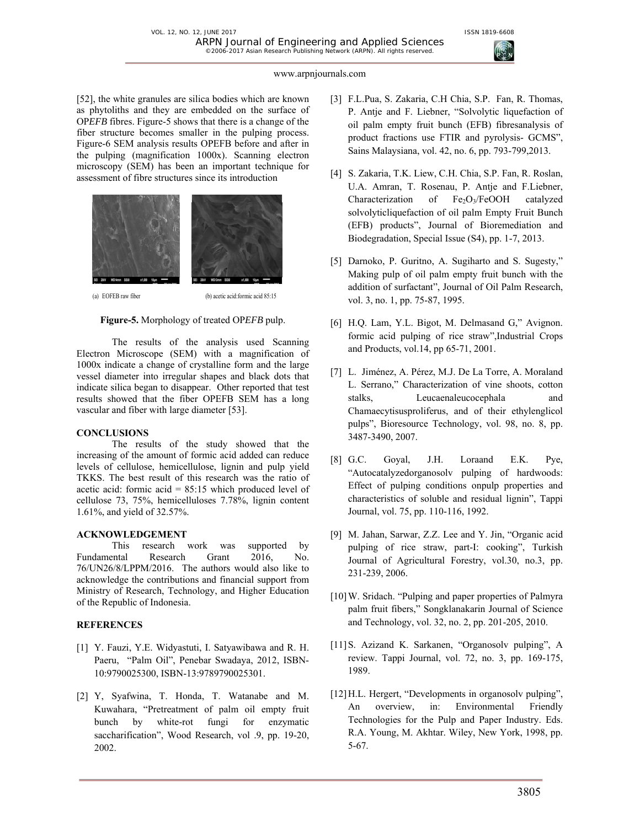

[52], the white granules are silica bodies which are known as phytoliths and they are embedded on the surface of OP*EFB* fibres. Figure-5 shows that there is a change of the fiber structure becomes smaller in the pulping process. Figure-6 SEM analysis results OPEFB before and after in the pulping (magnification 1000x). Scanning electron microscopy (SEM) has been an important technique for assessment of fibre structures since its introduction



(a) EOFEB raw fiber (b) acetic acid:formic acid 85:15

#### **Figure-5.** Morphology of treated OP*EFB* pulp.

The results of the analysis used Scanning Electron Microscope (SEM) with a magnification of 1000x indicate a change of crystalline form and the large vessel diameter into irregular shapes and black dots that indicate silica began to disappear. Other reported that test results showed that the fiber OPEFB SEM has a long vascular and fiber with large diameter [53].

#### **CONCLUSIONS**

The results of the study showed that the increasing of the amount of formic acid added can reduce levels of cellulose, hemicellulose, lignin and pulp yield TKKS. The best result of this research was the ratio of acetic acid: formic acid  $= 85:15$  which produced level of cellulose 73, 75%, hemicelluloses 7.78%, lignin content 1.61%, and yield of 32.57%.

#### **ACKNOWLEDGEMENT**

This research work was supported by Fundamental Research Grant 2016, No. 76/UN26/8/LPPM/2016. The authors would also like to acknowledge the contributions and financial support from Ministry of Research, Technology, and Higher Education of the Republic of Indonesia.

#### **REFERENCES**

- [1] Y. Fauzi, Y.E. Widyastuti, I. Satyawibawa and R. H. Paeru, "Palm Oil", Penebar Swadaya, 2012, ISBN-10:9790025300, ISBN-13:9789790025301.
- [2] Y, Syafwina, T. Honda, T. Watanabe and M. Kuwahara, "Pretreatment of palm oil empty fruit bunch by white-rot fungi for enzymatic saccharification", Wood Research, vol .9, pp. 19-20, 2002.
- [3] F.L.Pua, S. Zakaria, C.H Chia, S.P. Fan, R. Thomas, P. Antje and F. Liebner, "Solvolytic liquefaction of oil palm empty fruit bunch (EFB) fibresanalysis of product fractions use FTIR and pyrolysis- GCMS", Sains Malaysiana, vol. 42, no. 6, pp. 793-799,2013.
- [4] S. Zakaria, T.K. Liew, C.H. Chia, S.P. Fan, R. Roslan, U.A. Amran, T. Rosenau, P. Antje and F.Liebner, Characterization of Fe2O3/FeOOH catalyzed solvolyticliquefaction of oil palm Empty Fruit Bunch (EFB) products", Journal of Bioremediation and Biodegradation, Special Issue (S4), pp. 1-7, 2013.
- [5] Darnoko, P. Guritno, A. Sugiharto and S. Sugesty," Making pulp of oil palm empty fruit bunch with the addition of surfactant", Journal of Oil Palm Research, vol. 3, no. 1, pp. 75-87, 1995.
- [6] H.Q. Lam, Y.L. Bigot, M. Delmasand G," Avignon. formic acid pulping of rice straw",Industrial Crops and Products, vol.14, pp 65-71, 2001.
- [7] L. Jiménez, A. Pérez, M.J. De La Torre, A. Moraland L. Serrano," Characterization of vine shoots, cotton stalks, Leucaenaleucocephala and Chamaecytisusproliferus, and of their ethylenglicol pulps", Bioresource Technology, vol. 98, no. 8, pp. 3487-3490, 2007.
- [8] G.C. Goyal, J.H. Loraand E.K. Pye, "Autocatalyzedorganosolv pulping of hardwoods: Effect of pulping conditions onpulp properties and characteristics of soluble and residual lignin", Tappi Journal, vol. 75, pp. 110-116, 1992.
- [9] M. Jahan, Sarwar, Z.Z. Lee and Y. Jin, "Organic acid pulping of rice straw, part-I: cooking", Turkish Journal of Agricultural Forestry, vol.30, no.3, pp. 231-239, 2006.
- [10] W. Sridach. "Pulping and paper properties of Palmyra palm fruit fibers," Songklanakarin Journal of Science and Technology, vol. 32, no. 2, pp. 201-205, 2010.
- [11]S. Azizand K. Sarkanen, "Organosolv pulping", A review. Tappi Journal, vol. 72, no. 3, pp. 169-175, 1989.
- [12] H.L. Hergert, "Developments in organosolv pulping", An overview, in: Environmental Friendly Technologies for the Pulp and Paper Industry. Eds. R.A. Young, M. Akhtar. Wiley, New York, 1998, pp. 5-67.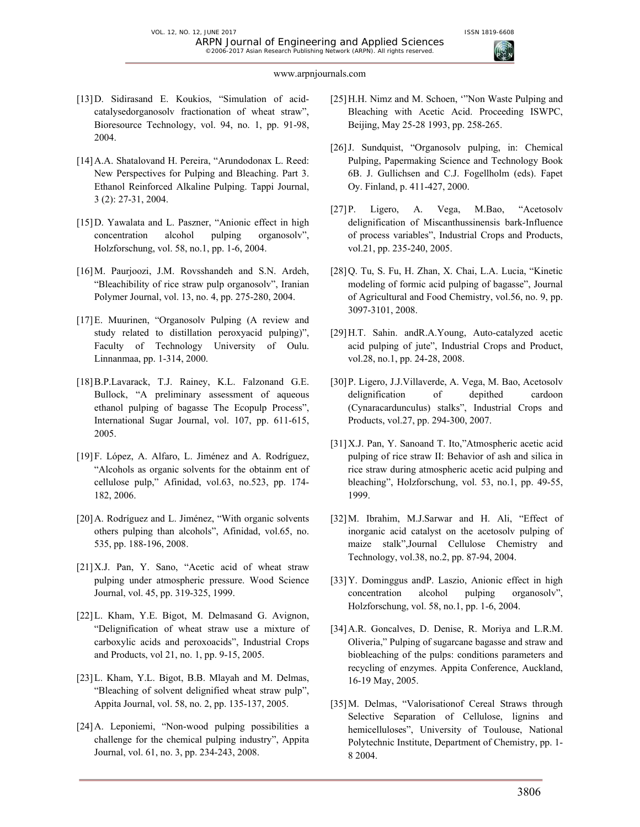- [13]D. Sidirasand E. Koukios, "Simulation of acidcatalysedorganosolv fractionation of wheat straw", Bioresource Technology, vol. 94, no. 1, pp. 91-98, 2004.
- [14]A.A. Shatalovand H. Pereira, "Arundodonax L. Reed: New Perspectives for Pulping and Bleaching. Part 3. Ethanol Reinforced Alkaline Pulping. Tappi Journal, 3 (2): 27-31, 2004.
- [15] D. Yawalata and L. Paszner, "Anionic effect in high concentration alcohol pulping organosolv", Holzforschung, vol. 58, no.1, pp. 1-6, 2004.
- [16] M. Paurjoozi, J.M. Rovsshandeh and S.N. Ardeh, "Bleachibility of rice straw pulp organosolv", Iranian Polymer Journal, vol. 13, no. 4, pp. 275-280, 2004.
- [17]E. Muurinen, "Organosolv Pulping (A review and study related to distillation peroxyacid pulping)", Faculty of Technology University of Oulu. Linnanmaa, pp. 1-314, 2000.
- [18]B.P.Lavarack, T.J. Rainey, K.L. Falzonand G.E. Bullock, "A preliminary assessment of aqueous ethanol pulping of bagasse The Ecopulp Process", International Sugar Journal, vol. 107, pp. 611-615, 2005.
- [19]F. López, A. Alfaro, L. Jiménez and A. Rodríguez, "Alcohols as organic solvents for the obtainm ent of cellulose pulp," Afinidad, vol.63, no.523, pp. 174- 182, 2006.
- [20]A. Rodríguez and L. Jiménez, "With organic solvents others pulping than alcohols", Afinidad, vol.65, no. 535, pp. 188-196, 2008.
- [21]X.J. Pan, Y. Sano, "Acetic acid of wheat straw pulping under atmospheric pressure. Wood Science Journal, vol. 45, pp. 319-325, 1999.
- [22]L. Kham, Y.E. Bigot, M. Delmasand G. Avignon, "Delignification of wheat straw use a mixture of carboxylic acids and peroxoacids", Industrial Crops and Products, vol 21, no. 1, pp. 9-15, 2005.
- [23]L. Kham, Y.L. Bigot, B.B. Mlayah and M. Delmas, "Bleaching of solvent delignified wheat straw pulp", Appita Journal, vol. 58, no. 2, pp. 135-137, 2005.
- [24]A. Leponiemi, "Non-wood pulping possibilities a challenge for the chemical pulping industry", Appita Journal, vol. 61, no. 3, pp. 234-243, 2008.
- [25]H.H. Nimz and M. Schoen, '"Non Waste Pulping and Bleaching with Acetic Acid. Proceeding ISWPC, Beijing, May 25-28 1993, pp. 258-265.
- [26]J. Sundquist, "Organosolv pulping, in: Chemical Pulping, Papermaking Science and Technology Book 6B. J. Gullichsen and C.J. Fogellholm (eds). Fapet Oy. Finland, p. 411-427, 2000.
- [27]P. Ligero, A. Vega, M.Bao, "Acetosolv delignification of Miscanthussinensis bark-Influence of process variables", Industrial Crops and Products, vol.21, pp. 235-240, 2005.
- [28]Q. Tu, S. Fu, H. Zhan, X. Chai, L.A. Lucia, "Kinetic modeling of formic acid pulping of bagasse", Journal of Agricultural and Food Chemistry, vol.56, no. 9, pp. 3097-3101, 2008.
- [29]H.T. Sahin. andR.A.Young, Auto-catalyzed acetic acid pulping of jute", Industrial Crops and Product, vol.28, no.1, pp. 24-28, 2008.
- [30]P. Ligero, J.J.Villaverde, A. Vega, M. Bao, Acetosolv delignification of depithed cardoon (Cynaracardunculus) stalks", Industrial Crops and Products, vol.27, pp. 294-300, 2007.
- [31]X.J. Pan, Y. Sanoand T. Ito,"Atmospheric acetic acid pulping of rice straw II: Behavior of ash and silica in rice straw during atmospheric acetic acid pulping and bleaching", Holzforschung, vol. 53, no.1, pp. 49-55, 1999.
- [32]M. Ibrahim, M.J.Sarwar and H. Ali, "Effect of inorganic acid catalyst on the acetosolv pulping of maize stalk",Journal Cellulose Chemistry and Technology, vol.38, no.2, pp. 87-94, 2004.
- [33]Y. Dominggus andP. Laszio, Anionic effect in high concentration alcohol pulping organosolv", Holzforschung, vol. 58, no.1, pp. 1-6, 2004.
- [34]A.R. Goncalves, D. Denise, R. Moriya and L.R.M. Oliveria," Pulping of sugarcane bagasse and straw and biobleaching of the pulps: conditions parameters and recycling of enzymes. Appita Conference, Auckland, 16-19 May, 2005.
- [35]M. Delmas, "Valorisationof Cereal Straws through Selective Separation of Cellulose, lignins and hemicelluloses", University of Toulouse, National Polytechnic Institute, Department of Chemistry, pp. 1- 8 2004.